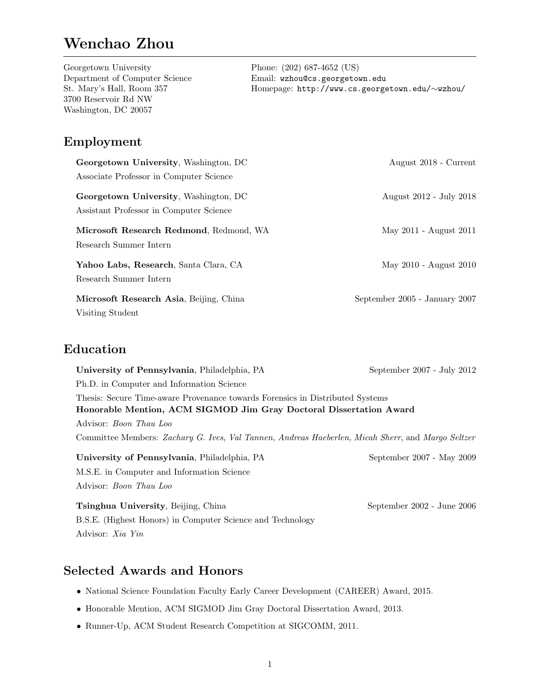# Wenchao Zhou

Georgetown University Department of Computer Science St. Mary's Hall, Room 357 3700 Reservoir Rd NW Washington, DC 20057

Phone: (202) 687-4652 (US) Email: wzhou@cs.georgetown.edu Homepage: [http://www.cs.georgetown.edu/](http://www.cs.georgetown.edu/~wzhou/)∼wzhou/

## Employment

| Georgetown University, Washington, DC                                            | August 2018 - Current         |
|----------------------------------------------------------------------------------|-------------------------------|
| Associate Professor in Computer Science                                          |                               |
| Georgetown University, Washington, DC<br>Assistant Professor in Computer Science | August 2012 - July 2018       |
| Microsoft Research Redmond, Redmond, WA<br>Research Summer Intern                | May 2011 - August 2011        |
| Yahoo Labs, Research, Santa Clara, CA<br>Research Summer Intern                  | May 2010 - August 2010        |
| Microsoft Research Asia, Beijing, China<br>Visiting Student                      | September 2005 - January 2007 |

## Education

| University of Pennsylvania, Philadelphia, PA                                                                                                        | September $2007$ - July $2012$ |  |
|-----------------------------------------------------------------------------------------------------------------------------------------------------|--------------------------------|--|
| Ph.D. in Computer and Information Science                                                                                                           |                                |  |
| Thesis: Secure Time-aware Provenance towards Forensics in Distributed Systems<br>Honorable Mention, ACM SIGMOD Jim Gray Doctoral Dissertation Award |                                |  |
| Advisor: <i>Boon Thau Loo</i>                                                                                                                       |                                |  |
| Committee Members: Zachary G. Ives, Val Tannen, Andreas Haeberlen, Micah Sherr, and Margo Seltzer                                                   |                                |  |
| University of Pennsylvania, Philadelphia, PA                                                                                                        | September 2007 - May 2009      |  |
| M.S.E. in Computer and Information Science                                                                                                          |                                |  |
| Advisor: <i>Boon Thau Loo</i>                                                                                                                       |                                |  |
| <b>Tsinghua University, Beijing, China</b>                                                                                                          | September $2002$ - June $2006$ |  |
| B.S.E. (Highest Honors) in Computer Science and Technology                                                                                          |                                |  |
| Advisor: <i>Xia Yin</i>                                                                                                                             |                                |  |

## Selected Awards and Honors

- National Science Foundation Faculty Early Career Development (CAREER) Award, 2015.
- Honorable Mention, ACM SIGMOD Jim Gray Doctoral Dissertation Award, 2013.
- Runner-Up, ACM Student Research Competition at SIGCOMM, 2011.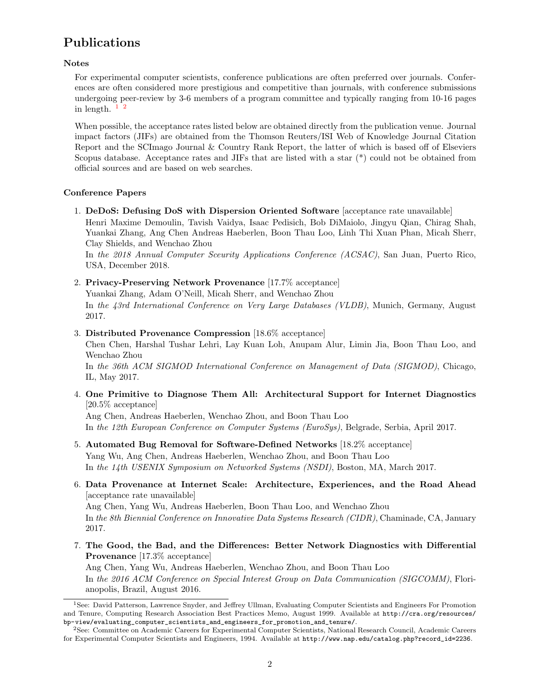## Publications

#### Notes

For experimental computer scientists, conference publications are often preferred over journals. Conferences are often considered more prestigious and competitive than journals, with conference submissions undergoing peer-review by 3-6 members of a program committee and typically ranging from 10-16 pages in length,  $1\frac{2}{3}$  $1\frac{2}{3}$  $1\frac{2}{3}$  $1\frac{2}{3}$ 

When possible, the acceptance rates listed below are obtained directly from the publication venue. Journal impact factors (JIFs) are obtained from the Thomson Reuters/ISI Web of Knowledge Journal Citation Report and the SCImago Journal & Country Rank Report, the latter of which is based off of Elseviers Scopus database. Acceptance rates and JIFs that are listed with a star (\*) could not be obtained from official sources and are based on web searches.

### Conference Papers

1. DeDoS: Defusing DoS with Dispersion Oriented Software [acceptance rate unavailable] Henri Maxime Demoulin, Tavish Vaidya, Isaac Pedisich, Bob DiMaiolo, Jingyu Qian, Chirag Shah, Yuankai Zhang, Ang Chen Andreas Haeberlen, Boon Thau Loo, Linh Thi Xuan Phan, Micah Sherr, Clay Shields, and Wenchao Zhou

In the 2018 Annual Computer Sceurity Applications Conference (ACSAC), San Juan, Puerto Rico, USA, December 2018.

2. Privacy-Preserving Network Provenance [17.7% acceptance]

Yuankai Zhang, Adam O'Neill, Micah Sherr, and Wenchao Zhou

In the 43rd International Conference on Very Large Databases (VLDB), Munich, Germany, August 2017.

3. Distributed Provenance Compression [18.6% acceptance]

Chen Chen, Harshal Tushar Lehri, Lay Kuan Loh, Anupam Alur, Limin Jia, Boon Thau Loo, and Wenchao Zhou

In the 36th ACM SIGMOD International Conference on Management of Data (SIGMOD), Chicago, IL, May 2017.

4. One Primitive to Diagnose Them All: Architectural Support for Internet Diagnostics [20.5% acceptance]

Ang Chen, Andreas Haeberlen, Wenchao Zhou, and Boon Thau Loo In the 12th European Conference on Computer Systems (EuroSys), Belgrade, Serbia, April 2017.

- 5. Automated Bug Removal for Software-Defined Networks [18.2% acceptance] Yang Wu, Ang Chen, Andreas Haeberlen, Wenchao Zhou, and Boon Thau Loo In the 14th USENIX Symposium on Networked Systems (NSDI), Boston, MA, March 2017.
- 6. Data Provenance at Internet Scale: Architecture, Experiences, and the Road Ahead [acceptance rate unavailable] Ang Chen, Yang Wu, Andreas Haeberlen, Boon Thau Loo, and Wenchao Zhou

In the 8th Biennial Conference on Innovative Data Systems Research (CIDR), Chaminade, CA, January 2017.

7. The Good, the Bad, and the Differences: Better Network Diagnostics with Differential Provenance [17.3% acceptance]

Ang Chen, Yang Wu, Andreas Haeberlen, Wenchao Zhou, and Boon Thau Loo In the 2016 ACM Conference on Special Interest Group on Data Communication (SIGCOMM), Florianopolis, Brazil, August 2016.

<span id="page-1-0"></span><sup>1</sup>See: David Patterson, Lawrence Snyder, and Jeffrey Ullman, Evaluating Computer Scientists and Engineers For Promotion and Tenure, Computing Research Association Best Practices Memo, August 1999. Available at [http://cra.org/resources/](http://cra.org/resources/bp-view/evaluating_computer_scientists_and_engineers_for_promotion_and_tenure/) [bp-view/evaluating\\_computer\\_scientists\\_and\\_engineers\\_for\\_promotion\\_and\\_tenure/](http://cra.org/resources/bp-view/evaluating_computer_scientists_and_engineers_for_promotion_and_tenure/).

<span id="page-1-1"></span><sup>2</sup>See: Committee on Academic Careers for Experimental Computer Scientists, National Research Council, Academic Careers for Experimental Computer Scientists and Engineers, 1994. Available at [http://www.nap.edu/catalog.php?record\\_id=2236](http://www.nap.edu/catalog.php?record_id=2236).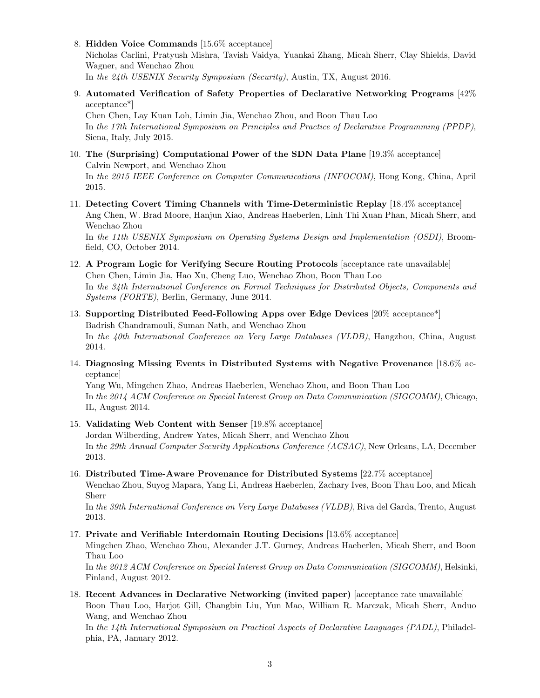8. Hidden Voice Commands [15.6% acceptance]

Nicholas Carlini, Pratyush Mishra, Tavish Vaidya, Yuankai Zhang, Micah Sherr, Clay Shields, David Wagner, and Wenchao Zhou

In the 24th USENIX Security Symposium (Security), Austin, TX, August 2016.

9. Automated Verification of Safety Properties of Declarative Networking Programs [42% acceptance\*]

Chen Chen, Lay Kuan Loh, Limin Jia, Wenchao Zhou, and Boon Thau Loo In the 17th International Symposium on Principles and Practice of Declarative Programming (PPDP), Siena, Italy, July 2015.

- 10. The (Surprising) Computational Power of the SDN Data Plane [19.3% acceptance] Calvin Newport, and Wenchao Zhou In the 2015 IEEE Conference on Computer Communications (INFOCOM), Hong Kong, China, April 2015.
- 11. Detecting Covert Timing Channels with Time-Deterministic Replay [18.4% acceptance] Ang Chen, W. Brad Moore, Hanjun Xiao, Andreas Haeberlen, Linh Thi Xuan Phan, Micah Sherr, and Wenchao Zhou

In the 11th USENIX Symposium on Operating Systems Design and Implementation (OSDI), Broomfield, CO, October 2014.

- 12. A Program Logic for Verifying Secure Routing Protocols [acceptance rate unavailable] Chen Chen, Limin Jia, Hao Xu, Cheng Luo, Wenchao Zhou, Boon Thau Loo In the 34th International Conference on Formal Techniques for Distributed Objects, Components and Systems (FORTE), Berlin, Germany, June 2014.
- 13. Supporting Distributed Feed-Following Apps over Edge Devices [20% acceptance\*] Badrish Chandramouli, Suman Nath, and Wenchao Zhou In the 40th International Conference on Very Large Databases (VLDB), Hangzhou, China, August 2014.
- 14. Diagnosing Missing Events in Distributed Systems with Negative Provenance [18.6% acceptance]

Yang Wu, Mingchen Zhao, Andreas Haeberlen, Wenchao Zhou, and Boon Thau Loo In the 2014 ACM Conference on Special Interest Group on Data Communication (SIGCOMM), Chicago, IL, August 2014.

15. Validating Web Content with Senser [19.8% acceptance]

Jordan Wilberding, Andrew Yates, Micah Sherr, and Wenchao Zhou In the 29th Annual Computer Security Applications Conference (ACSAC), New Orleans, LA, December 2013.

16. Distributed Time-Aware Provenance for Distributed Systems [22.7% acceptance]

Wenchao Zhou, Suyog Mapara, Yang Li, Andreas Haeberlen, Zachary Ives, Boon Thau Loo, and Micah Sherr

In the 39th International Conference on Very Large Databases (VLDB), Riva del Garda, Trento, August 2013.

17. Private and Verifiable Interdomain Routing Decisions [13.6% acceptance]

Mingchen Zhao, Wenchao Zhou, Alexander J.T. Gurney, Andreas Haeberlen, Micah Sherr, and Boon Thau Loo

In the 2012 ACM Conference on Special Interest Group on Data Communication (SIGCOMM), Helsinki, Finland, August 2012.

18. Recent Advances in Declarative Networking (invited paper) [acceptance rate unavailable] Boon Thau Loo, Harjot Gill, Changbin Liu, Yun Mao, William R. Marczak, Micah Sherr, Anduo Wang, and Wenchao Zhou

In the 14th International Symposium on Practical Aspects of Declarative Languages (PADL), Philadelphia, PA, January 2012.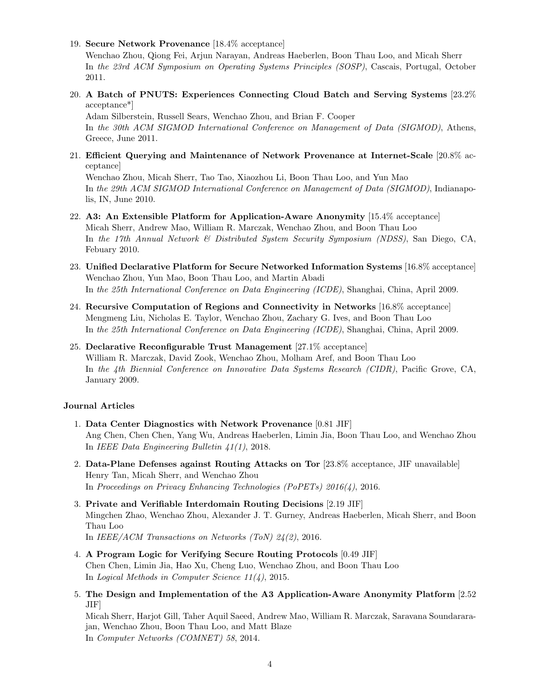19. Secure Network Provenance [18.4% acceptance]

Wenchao Zhou, Qiong Fei, Arjun Narayan, Andreas Haeberlen, Boon Thau Loo, and Micah Sherr In the 23rd ACM Symposium on Operating Systems Principles (SOSP), Cascais, Portugal, October 2011.

20. A Batch of PNUTS: Experiences Connecting Cloud Batch and Serving Systems [23.2% acceptance\*]

Adam Silberstein, Russell Sears, Wenchao Zhou, and Brian F. Cooper In the 30th ACM SIGMOD International Conference on Management of Data (SIGMOD), Athens, Greece, June 2011.

21. Efficient Querying and Maintenance of Network Provenance at Internet-Scale [20.8% acceptance]

Wenchao Zhou, Micah Sherr, Tao Tao, Xiaozhou Li, Boon Thau Loo, and Yun Mao In the 29th ACM SIGMOD International Conference on Management of Data (SIGMOD), Indianapolis, IN, June 2010.

- 22. A3: An Extensible Platform for Application-Aware Anonymity [15.4% acceptance] Micah Sherr, Andrew Mao, William R. Marczak, Wenchao Zhou, and Boon Thau Loo In the 17th Annual Network & Distributed System Security Symposium (NDSS), San Diego, CA, Febuary 2010.
- 23. Unified Declarative Platform for Secure Networked Information Systems [16.8% acceptance] Wenchao Zhou, Yun Mao, Boon Thau Loo, and Martin Abadi In the 25th International Conference on Data Engineering (ICDE), Shanghai, China, April 2009.
- 24. Recursive Computation of Regions and Connectivity in Networks [16.8% acceptance] Mengmeng Liu, Nicholas E. Taylor, Wenchao Zhou, Zachary G. Ives, and Boon Thau Loo In the 25th International Conference on Data Engineering (ICDE), Shanghai, China, April 2009.
- 25. Declarative Reconfigurable Trust Management [27.1% acceptance] William R. Marczak, David Zook, Wenchao Zhou, Molham Aref, and Boon Thau Loo In the 4th Biennial Conference on Innovative Data Systems Research (CIDR), Pacific Grove, CA, January 2009.

### Journal Articles

- 1. Data Center Diagnostics with Network Provenance [0.81 JIF] Ang Chen, Chen Chen, Yang Wu, Andreas Haeberlen, Limin Jia, Boon Thau Loo, and Wenchao Zhou In IEEE Data Engineering Bulletin 41(1), 2018.
- 2. Data-Plane Defenses against Routing Attacks on Tor [23.8% acceptance, JIF unavailable] Henry Tan, Micah Sherr, and Wenchao Zhou In Proceedings on Privacy Enhancing Technologies (PoPETs) 2016(4), 2016.
- 3. Private and Verifiable Interdomain Routing Decisions [2.19 JIF] Mingchen Zhao, Wenchao Zhou, Alexander J. T. Gurney, Andreas Haeberlen, Micah Sherr, and Boon Thau Loo In IEEE/ACM Transactions on Networks (ToN) 24(2), 2016.
- 4. A Program Logic for Verifying Secure Routing Protocols [0.49 JIF] Chen Chen, Limin Jia, Hao Xu, Cheng Luo, Wenchao Zhou, and Boon Thau Loo In *Logical Methods in Computer Science*  $11(4)$ *, 2015.*
- 5. The Design and Implementation of the A3 Application-Aware Anonymity Platform [2.52 JIF]

Micah Sherr, Harjot Gill, Taher Aquil Saeed, Andrew Mao, William R. Marczak, Saravana Soundararajan, Wenchao Zhou, Boon Thau Loo, and Matt Blaze In Computer Networks (COMNET) 58, 2014.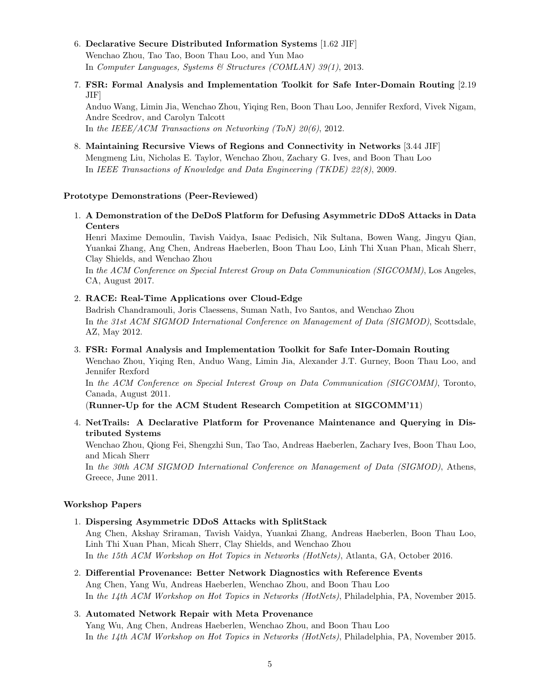- 6. Declarative Secure Distributed Information Systems [1.62 JIF] Wenchao Zhou, Tao Tao, Boon Thau Loo, and Yun Mao In Computer Languages, Systems & Structures (COMLAN) 39(1), 2013.
- 7. FSR: Formal Analysis and Implementation Toolkit for Safe Inter-Domain Routing [2.19 JIF]

Anduo Wang, Limin Jia, Wenchao Zhou, Yiqing Ren, Boon Thau Loo, Jennifer Rexford, Vivek Nigam, Andre Scedrov, and Carolyn Talcott In the IEEE/ACM Transactions on Networking (ToN) 20(6), 2012.

8. Maintaining Recursive Views of Regions and Connectivity in Networks [3.44 JIF] Mengmeng Liu, Nicholas E. Taylor, Wenchao Zhou, Zachary G. Ives, and Boon Thau Loo In IEEE Transactions of Knowledge and Data Engineering (TKDE) 22(8), 2009.

#### Prototype Demonstrations (Peer-Reviewed)

1. A Demonstration of the DeDoS Platform for Defusing Asymmetric DDoS Attacks in Data Centers

Henri Maxime Demoulin, Tavish Vaidya, Isaac Pedisich, Nik Sultana, Bowen Wang, Jingyu Qian, Yuankai Zhang, Ang Chen, Andreas Haeberlen, Boon Thau Loo, Linh Thi Xuan Phan, Micah Sherr, Clay Shields, and Wenchao Zhou

In the ACM Conference on Special Interest Group on Data Communication (SIGCOMM), Los Angeles, CA, August 2017.

#### 2. RACE: Real-Time Applications over Cloud-Edge

Badrish Chandramouli, Joris Claessens, Suman Nath, Ivo Santos, and Wenchao Zhou In the 31st ACM SIGMOD International Conference on Management of Data (SIGMOD), Scottsdale, AZ, May 2012.

#### 3. FSR: Formal Analysis and Implementation Toolkit for Safe Inter-Domain Routing

Wenchao Zhou, Yiqing Ren, Anduo Wang, Limin Jia, Alexander J.T. Gurney, Boon Thau Loo, and Jennifer Rexford

In the ACM Conference on Special Interest Group on Data Communication (SIGCOMM), Toronto, Canada, August 2011.

(Runner-Up for the ACM Student Research Competition at SIGCOMM'11)

4. NetTrails: A Declarative Platform for Provenance Maintenance and Querying in Distributed Systems

Wenchao Zhou, Qiong Fei, Shengzhi Sun, Tao Tao, Andreas Haeberlen, Zachary Ives, Boon Thau Loo, and Micah Sherr

In the 30th ACM SIGMOD International Conference on Management of Data (SIGMOD), Athens, Greece, June 2011.

#### Workshop Papers

1. Dispersing Asymmetric DDoS Attacks with SplitStack

Ang Chen, Akshay Sriraman, Tavish Vaidya, Yuankai Zhang, Andreas Haeberlen, Boon Thau Loo, Linh Thi Xuan Phan, Micah Sherr, Clay Shields, and Wenchao Zhou In the 15th ACM Workshop on Hot Topics in Networks (HotNets), Atlanta, GA, October 2016.

2. Differential Provenance: Better Network Diagnostics with Reference Events Ang Chen, Yang Wu, Andreas Haeberlen, Wenchao Zhou, and Boon Thau Loo In the 14th ACM Workshop on Hot Topics in Networks (HotNets), Philadelphia, PA, November 2015.

## 3. Automated Network Repair with Meta Provenance Yang Wu, Ang Chen, Andreas Haeberlen, Wenchao Zhou, and Boon Thau Loo In the 14th ACM Workshop on Hot Topics in Networks (HotNets), Philadelphia, PA, November 2015.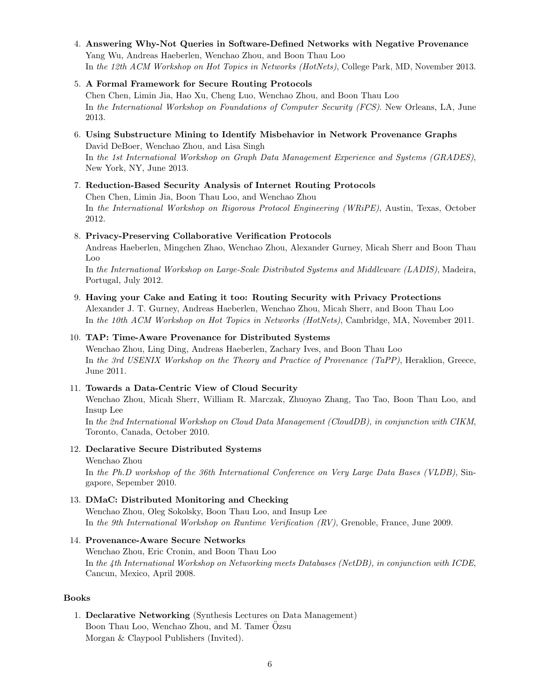## 4. Answering Why-Not Queries in Software-Defined Networks with Negative Provenance

Yang Wu, Andreas Haeberlen, Wenchao Zhou, and Boon Thau Loo In the 12th ACM Workshop on Hot Topics in Networks (HotNets), College Park, MD, November 2013.

## 5. A Formal Framework for Secure Routing Protocols

Chen Chen, Limin Jia, Hao Xu, Cheng Luo, Wenchao Zhou, and Boon Thau Loo In the International Workshop on Foundations of Computer Security (FCS). New Orleans, LA, June 2013.

## 6. Using Substructure Mining to Identify Misbehavior in Network Provenance Graphs

David DeBoer, Wenchao Zhou, and Lisa Singh In the 1st International Workshop on Graph Data Management Experience and Systems (GRADES), New York, NY, June 2013.

## 7. Reduction-Based Security Analysis of Internet Routing Protocols

Chen Chen, Limin Jia, Boon Thau Loo, and Wenchao Zhou In the International Workshop on Rigorous Protocol Engineering (WRiPE), Austin, Texas, October 2012.

## 8. Privacy-Preserving Collaborative Verification Protocols

Andreas Haeberlen, Mingchen Zhao, Wenchao Zhou, Alexander Gurney, Micah Sherr and Boon Thau Loo

In the International Workshop on Large-Scale Distributed Systems and Middleware (LADIS), Madeira, Portugal, July 2012.

### 9. Having your Cake and Eating it too: Routing Security with Privacy Protections

Alexander J. T. Gurney, Andreas Haeberlen, Wenchao Zhou, Micah Sherr, and Boon Thau Loo In the 10th ACM Workshop on Hot Topics in Networks (HotNets), Cambridge, MA, November 2011.

## 10. TAP: Time-Aware Provenance for Distributed Systems

Wenchao Zhou, Ling Ding, Andreas Haeberlen, Zachary Ives, and Boon Thau Loo In the 3rd USENIX Workshop on the Theory and Practice of Provenance (TaPP), Heraklion, Greece, June 2011.

## 11. Towards a Data-Centric View of Cloud Security

Wenchao Zhou, Micah Sherr, William R. Marczak, Zhuoyao Zhang, Tao Tao, Boon Thau Loo, and Insup Lee

In the 2nd International Workshop on Cloud Data Management (CloudDB), in conjunction with CIKM, Toronto, Canada, October 2010.

## 12. Declarative Secure Distributed Systems

Wenchao Zhou In the Ph.D workshop of the 36th International Conference on Very Large Data Bases (VLDB), Singapore, Sepember 2010.

## 13. DMaC: Distributed Monitoring and Checking

Wenchao Zhou, Oleg Sokolsky, Boon Thau Loo, and Insup Lee In the 9th International Workshop on Runtime Verification (RV), Grenoble, France, June 2009.

### 14. Provenance-Aware Secure Networks

Wenchao Zhou, Eric Cronin, and Boon Thau Loo In the 4th International Workshop on Networking meets Databases (NetDB), in conjunction with ICDE, Cancun, Mexico, April 2008.

### Books

1. Declarative Networking (Synthesis Lectures on Data Management) Boon Thau Loo, Wenchao Zhou, and M. Tamer Özsu Morgan & Claypool Publishers (Invited).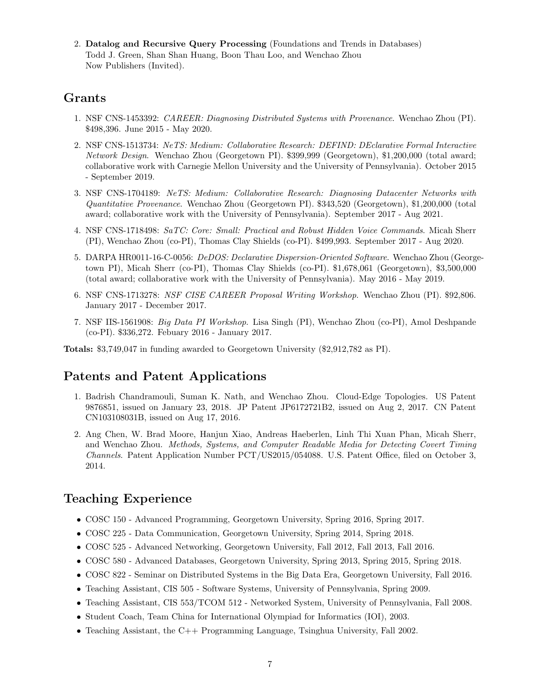2. Datalog and Recursive Query Processing (Foundations and Trends in Databases) Todd J. Green, Shan Shan Huang, Boon Thau Loo, and Wenchao Zhou Now Publishers (Invited).

## Grants

- 1. NSF CNS-1453392: CAREER: Diagnosing Distributed Systems with Provenance. Wenchao Zhou (PI). \$498,396. June 2015 - May 2020.
- 2. NSF CNS-1513734: NeTS: Medium: Collaborative Research: DEFIND: DEclarative Formal Interactive Network Design. Wenchao Zhou (Georgetown PI). \$399,999 (Georgetown), \$1,200,000 (total award; collaborative work with Carnegie Mellon University and the University of Pennsylvania). October 2015 - September 2019.
- 3. NSF CNS-1704189: NeTS: Medium: Collaborative Research: Diagnosing Datacenter Networks with Quantitative Provenance. Wenchao Zhou (Georgetown PI). \$343,520 (Georgetown), \$1,200,000 (total award; collaborative work with the University of Pennsylvania). September 2017 - Aug 2021.
- 4. NSF CNS-1718498: SaTC: Core: Small: Practical and Robust Hidden Voice Commands. Micah Sherr (PI), Wenchao Zhou (co-PI), Thomas Clay Shields (co-PI). \$499,993. September 2017 - Aug 2020.
- 5. DARPA HR0011-16-C-0056: DeDOS: Declarative Dispersion-Oriented Software. Wenchao Zhou (Georgetown PI), Micah Sherr (co-PI), Thomas Clay Shields (co-PI). \$1,678,061 (Georgetown), \$3,500,000 (total award; collaborative work with the University of Pennsylvania). May 2016 - May 2019.
- 6. NSF CNS-1713278: NSF CISE CAREER Proposal Writing Workshop. Wenchao Zhou (PI). \$92,806. January 2017 - December 2017.
- 7. NSF IIS-1561908: Big Data PI Workshop. Lisa Singh (PI), Wenchao Zhou (co-PI), Amol Deshpande (co-PI). \$336,272. Febuary 2016 - January 2017.

Totals: \$3,749,047 in funding awarded to Georgetown University (\$2,912,782 as PI).

## Patents and Patent Applications

- 1. Badrish Chandramouli, Suman K. Nath, and Wenchao Zhou. Cloud-Edge Topologies. US Patent 9876851, issued on January 23, 2018. JP Patent JP6172721B2, issued on Aug 2, 2017. CN Patent CN103108031B, issued on Aug 17, 2016.
- 2. Ang Chen, W. Brad Moore, Hanjun Xiao, Andreas Haeberlen, Linh Thi Xuan Phan, Micah Sherr, and Wenchao Zhou. Methods, Systems, and Computer Readable Media for Detecting Covert Timing Channels. Patent Application Number PCT/US2015/054088. U.S. Patent Office, filed on October 3, 2014.

## Teaching Experience

- COSC 150 Advanced Programming, Georgetown University, Spring 2016, Spring 2017.
- COSC 225 Data Communication, Georgetown University, Spring 2014, Spring 2018.
- COSC 525 Advanced Networking, Georgetown University, Fall 2012, Fall 2013, Fall 2016.
- COSC 580 Advanced Databases, Georgetown University, Spring 2013, Spring 2015, Spring 2018.
- COSC 822 Seminar on Distributed Systems in the Big Data Era, Georgetown University, Fall 2016.
- Teaching Assistant, CIS 505 Software Systems, University of Pennsylvania, Spring 2009.
- Teaching Assistant, CIS 553/TCOM 512 Networked System, University of Pennsylvania, Fall 2008.
- Student Coach, Team China for International Olympiad for Informatics (IOI), 2003.
- Teaching Assistant, the C++ Programming Language, Tsinghua University, Fall 2002.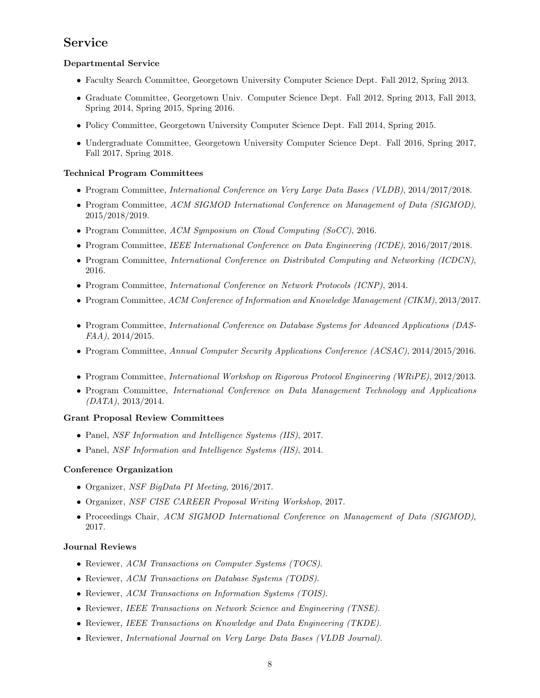## Service

### Departmental Service

- Faculty Search Committee, Georgetown University Computer Science Dept. Fall 2012, Spring 2013.
- Graduate Committee, Georgetown Univ. Computer Science Dept. Fall 2012, Spring 2013, Fall 2013, Spring 2014, Spring 2015, Spring 2016.
- Policy Committee, Georgetown University Computer Science Dept. Fall 2014, Spring 2015.
- Undergraduate Committee, Georgetown University Computer Science Dept. Fall 2016, Spring 2017, Fall 2017, Spring 2018.

### Technical Program Committees

- Program Committee, *International Conference on Very Large Data Bases (VLDB)*, 2014/2017/2018.
- Program Committee, ACM SIGMOD International Conference on Management of Data (SIGMOD), 2015/2018/2019.
- Program Committee, ACM Symposium on Cloud Computing (SoCC), 2016.
- Program Committee, IEEE International Conference on Data Engineering (ICDE), 2016/2017/2018.
- Program Committee, *International Conference on Distributed Computing and Networking (ICDCN)*, 2016.
- Program Committee, International Conference on Network Protocols (ICNP), 2014.
- Program Committee, ACM Conference of Information and Knowledge Management (CIKM), 2013/2017.
- Program Committee, *International Conference on Database Systems for Advanced Applications (DAS-*FAA), 2014/2015.
- Program Committee, Annual Computer Security Applications Conference (ACSAC), 2014/2015/2016.
- Program Committee, International Workshop on Rigorous Protocol Engineering (WRiPE), 2012/2013.
- Program Committee, International Conference on Data Management Technology and Applications (DATA), 2013/2014.

### Grant Proposal Review Committees

- Panel, NSF Information and Intelligence Systems (IIS), 2017.
- Panel, NSF Information and Intelligence Systems (IIS), 2014.

### Conference Organization

- Organizer, NSF BigData PI Meeting, 2016/2017.
- Organizer, NSF CISE CAREER Proposal Writing Workshop, 2017.
- Proceedings Chair, ACM SIGMOD International Conference on Management of Data (SIGMOD), 2017.

### Journal Reviews

- Reviewer, ACM Transactions on Computer Systems (TOCS).
- Reviewer, ACM Transactions on Database Systems (TODS).
- Reviewer, ACM Transactions on Information Systems (TOIS).
- Reviewer, IEEE Transactions on Network Science and Engineering (TNSE).
- Reviewer, IEEE Transactions on Knowledge and Data Engineering (TKDE).
- Reviewer, International Journal on Very Large Data Bases (VLDB Journal).